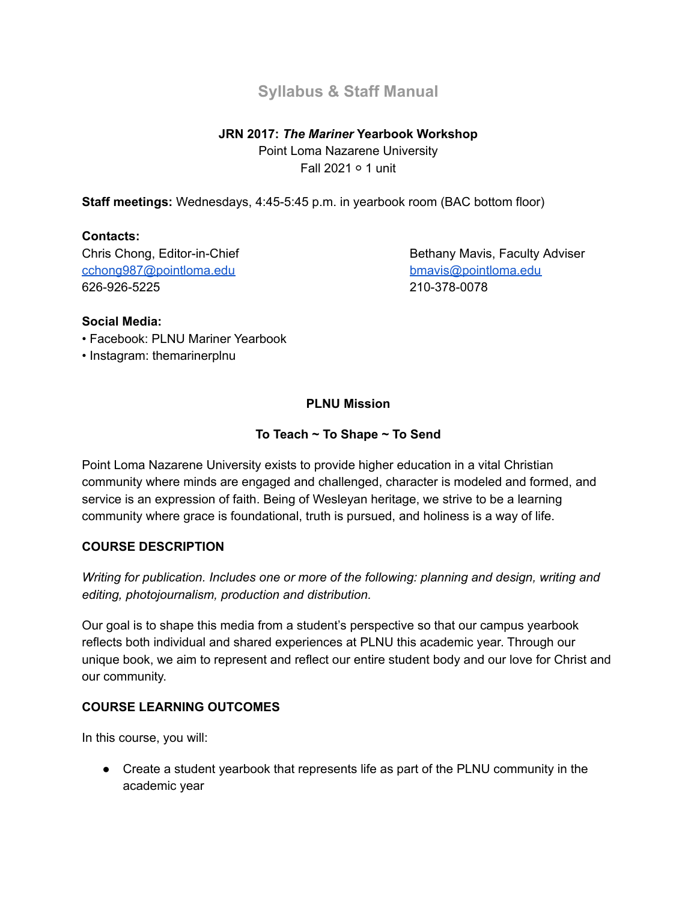# **Syllabus & Staff Manual**

# **JRN 2017:** *The Mariner* **Yearbook Workshop**

Point Loma Nazarene University Fall 2021 ○ 1 unit

**Staff meetings:** Wednesdays, 4:45-5:45 p.m. in yearbook room (BAC bottom floor)

## **Contacts:**

[cchong987@pointloma.edu](mailto:cchong987@pointloma.edu) [bmavis@pointloma.edu](mailto:bmavis@pointloma.edu) 626-926-5225 210-378-0078

Chris Chong, Editor-in-Chief Bethany Mavis, Faculty Adviser

### **Social Media:**

- Facebook: PLNU Mariner Yearbook
- Instagram: themarinerplnu

# **PLNU Mission**

## **To Teach ~ To Shape ~ To Send**

Point Loma Nazarene University exists to provide higher education in a vital Christian community where minds are engaged and challenged, character is modeled and formed, and service is an expression of faith. Being of Wesleyan heritage, we strive to be a learning community where grace is foundational, truth is pursued, and holiness is a way of life.

### **COURSE DESCRIPTION**

*Writing for publication. Includes one or more of the following: planning and design, writing and editing, photojournalism, production and distribution.*

Our goal is to shape this media from a student's perspective so that our campus yearbook reflects both individual and shared experiences at PLNU this academic year. Through our unique book, we aim to represent and reflect our entire student body and our love for Christ and our community.

## **COURSE LEARNING OUTCOMES**

In this course, you will:

● Create a student yearbook that represents life as part of the PLNU community in the academic year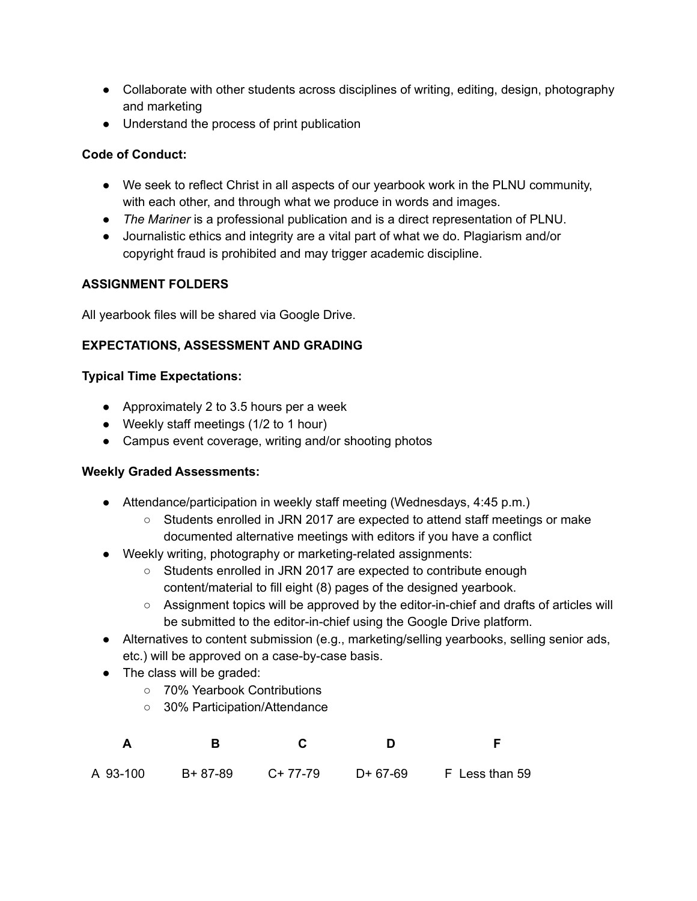- Collaborate with other students across disciplines of writing, editing, design, photography and marketing
- Understand the process of print publication

# **Code of Conduct:**

- We seek to reflect Christ in all aspects of our yearbook work in the PLNU community, with each other, and through what we produce in words and images.
- *The Mariner* is a professional publication and is a direct representation of PLNU.
- Journalistic ethics and integrity are a vital part of what we do. Plagiarism and/or copyright fraud is prohibited and may trigger academic discipline.

# **ASSIGNMENT FOLDERS**

All yearbook files will be shared via Google Drive.

# **EXPECTATIONS, ASSESSMENT AND GRADING**

## **Typical Time Expectations:**

- Approximately 2 to 3.5 hours per a week
- Weekly staff meetings (1/2 to 1 hour)
- Campus event coverage, writing and/or shooting photos

## **Weekly Graded Assessments:**

- Attendance/participation in weekly staff meeting (Wednesdays, 4:45 p.m.)
	- Students enrolled in JRN 2017 are expected to attend staff meetings or make documented alternative meetings with editors if you have a conflict
- Weekly writing, photography or marketing-related assignments:
	- Students enrolled in JRN 2017 are expected to contribute enough content/material to fill eight (8) pages of the designed yearbook.
	- Assignment topics will be approved by the editor-in-chief and drafts of articles will be submitted to the editor-in-chief using the Google Drive platform.
- Alternatives to content submission (e.g., marketing/selling yearbooks, selling senior ads, etc.) will be approved on a case-by-case basis.
- The class will be graded:
	- 70% Yearbook Contributions
	- 30% Participation/Attendance

| A 93-100 | B+ 87-89 | C+ 77-79 | D+ 67-69 F Less than 59 |
|----------|----------|----------|-------------------------|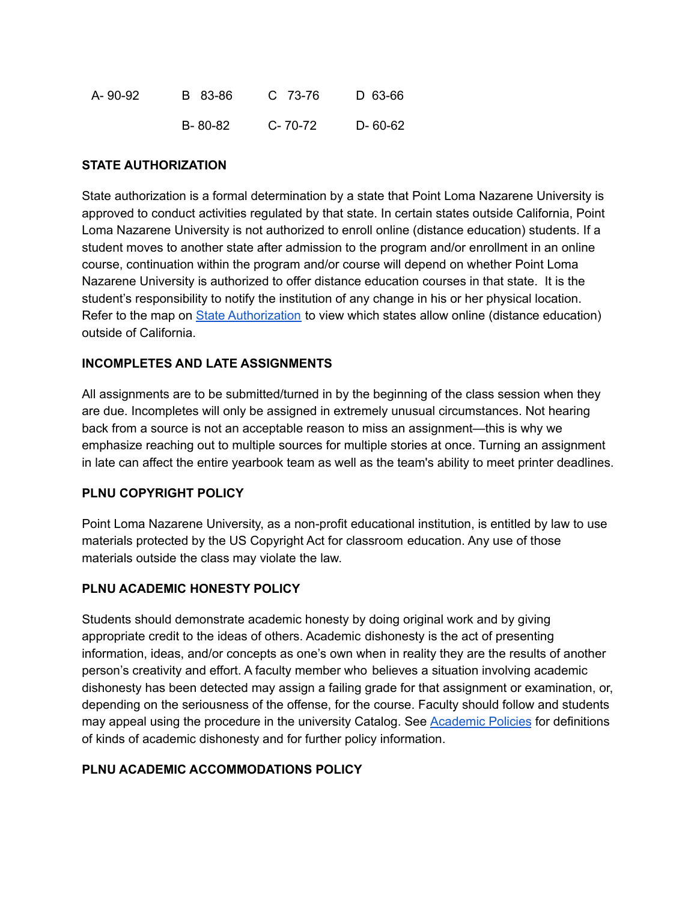| A- 90-92 | B 83-86 | C 73-76 | D 63-66  |
|----------|---------|---------|----------|
|          | B-80-82 | C-70-72 | D- 60-62 |

### **STATE AUTHORIZATION**

State authorization is a formal determination by a state that Point Loma Nazarene University is approved to conduct activities regulated by that state. In certain states outside California, Point Loma Nazarene University is not authorized to enroll online (distance education) students. If a student moves to another state after admission to the program and/or enrollment in an online course, continuation within the program and/or course will depend on whether Point Loma Nazarene University is authorized to offer distance education courses in that state. It is the student's responsibility to notify the institution of any change in his or her physical location. Refer to the map on State [Authorization](https://www.pointloma.edu/offices/office-institutional-effectiveness-research/disclosures) to view which states allow online (distance education) outside of California.

### **INCOMPLETES AND LATE ASSIGNMENTS**

All assignments are to be submitted/turned in by the beginning of the class session when they are due. Incompletes will only be assigned in extremely unusual circumstances. Not hearing back from a source is not an acceptable reason to miss an assignment—this is why we emphasize reaching out to multiple sources for multiple stories at once. Turning an assignment in late can affect the entire yearbook team as well as the team's ability to meet printer deadlines.

### **PLNU COPYRIGHT POLICY**

Point Loma Nazarene University, as a non-profit educational institution, is entitled by law to use materials protected by the US Copyright Act for classroom education. Any use of those materials outside the class may violate the law.

## **PLNU ACADEMIC HONESTY POLICY**

Students should demonstrate academic honesty by doing original work and by giving appropriate credit to the ideas of others. Academic dishonesty is the act of presenting information, ideas, and/or concepts as one's own when in reality they are the results of another person's creativity and effort. A faculty member who believes a situation involving academic dishonesty has been detected may assign a failing grade for that assignment or examination, or, depending on the seriousness of the offense, for the course. Faculty should follow and students may appeal using the procedure in the university Catalog. See [Academic](http://catalog.pointloma.edu/content.php?catoid=18&navoid=1278) Policies for definitions of kinds of academic dishonesty and for further policy information.

### **PLNU ACADEMIC ACCOMMODATIONS POLICY**